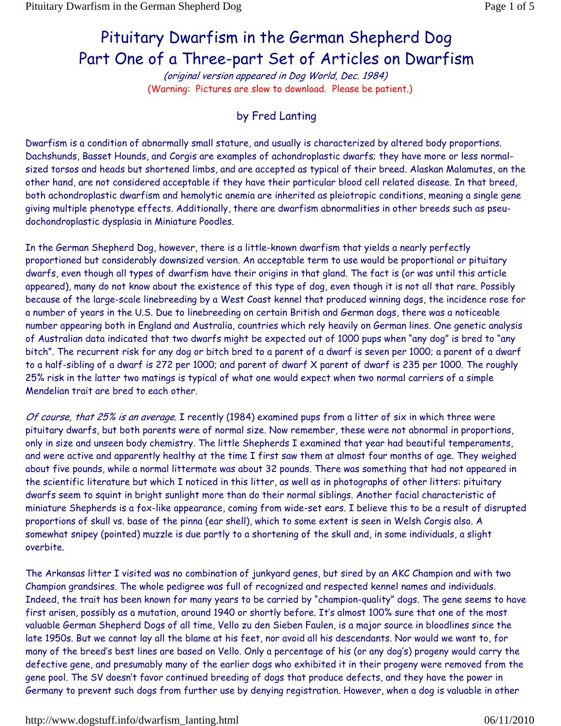## Pituitary Dwarfism in the German Shepherd Dog Part One of a Three-part Set of Articles on Dwarfism

(original version appeared in Dog World, Dec. 1984) (Warning: Pictures are slow to download. Please be patient.)

## by Fred Lanting

Dwarfism is a condition of abnormally small stature, and usually is characterized by altered body proportions. Dachshunds, Basset Hounds, and Corgis are examples of achondroplastic dwarfs; they have more or less normalsized torsos and heads but shortened limbs, and are accepted as typical of their breed. Alaskan Malamutes, on the other hand, are not considered acceptable if they have their particular blood cell related disease. In that breed, both achondroplastic dwarfism and hemolytic anemia are inherited as pleiotropic conditions, meaning a single gene giving multiple phenotype effects. Additionally, there are dwarfism abnormalities in other breeds such as pseudochondroplastic dysplasia in Miniature Poodles.

In the German Shepherd Dog, however, there is a little-known dwarfism that yields a nearly perfectly proportioned but considerably downsized version. An acceptable term to use would be proportional or pituitary dwarfs, even though all types of dwarfism have their origins in that gland. The fact is (or was until this article appeared), many do not know about the existence of this type of dog, even though it is not all that rare. Possibly because of the large-scale linebreeding by a West Coast kennel that produced winning dogs, the incidence rose for a number of years in the U.S. Due to linebreeding on certain British and German dogs, there was a noticeable number appearing both in England and Australia, countries which rely heavily on German lines. One genetic analysis of Australian data indicated that two dwarfs might be expected out of 1000 pups when "any dog" is bred to "any bitch". The recurrent risk for any dog or bitch bred to a parent of a dwarf is seven per 1000; a parent of a dwarf to a half-sibling of a dwarf is 272 per 1000; and parent of dwarf X parent of dwarf is 235 per 1000. The roughly 25% risk in the latter two matings is typical of what one would expect when two normal carriers of a simple Mendelian trait are bred to each other.

Of course, that 25% is an average. I recently (1984) examined pups from a litter of six in which three were pituitary dwarfs, but both parents were of normal size. Now remember, these were not abnormal in proportions, only in size and unseen body chemistry. The little Shepherds I examined that year had beautiful temperaments, and were active and apparently healthy at the time I first saw them at almost four months of age. They weighed about five pounds, while a normal littermate was about 32 pounds. There was something that had not appeared in the scientific literature but which I noticed in this litter, as well as in photographs of other litters: pituitary dwarfs seem to squint in bright sunlight more than do their normal siblings. Another facial characteristic of miniature Shepherds is a fox-like appearance, coming from wide-set ears. I believe this to be a result of disrupted proportions of skull vs. base of the pinna (ear shell), which to some extent is seen in Welsh Corgis also. A somewhat snipey (pointed) muzzle is due partly to a shortening of the skull and, in some individuals, a slight overbite.

The Arkansas litter I visited was no combination of junkyard genes, but sired by an AKC Champion and with two Champion grandsires. The whole pedigree was full of recognized and respected kennel names and individuals. Indeed, the trait has been known for many years to be carried by "champion-quality" dogs. The gene seems to have first arisen, possibly as a mutation, around 1940 or shortly before. It's almost 100% sure that one of the most valuable German Shepherd Dogs of all time, Vello zu den Sieben Faulen, is a major source in bloodlines since the late 1950s. But we cannot lay all the blame at his feet, nor avoid all his descendants. Nor would we want to, for many of the breed's best lines are based on Vello. Only a percentage of his (or any dog's) progeny would carry the defective gene, and presumably many of the earlier dogs who exhibited it in their progeny were removed from the gene pool. The SV doesn't favor continued breeding of dogs that produce defects, and they have the power in Germany to prevent such dogs from further use by denying registration. However, when a dog is valuable in other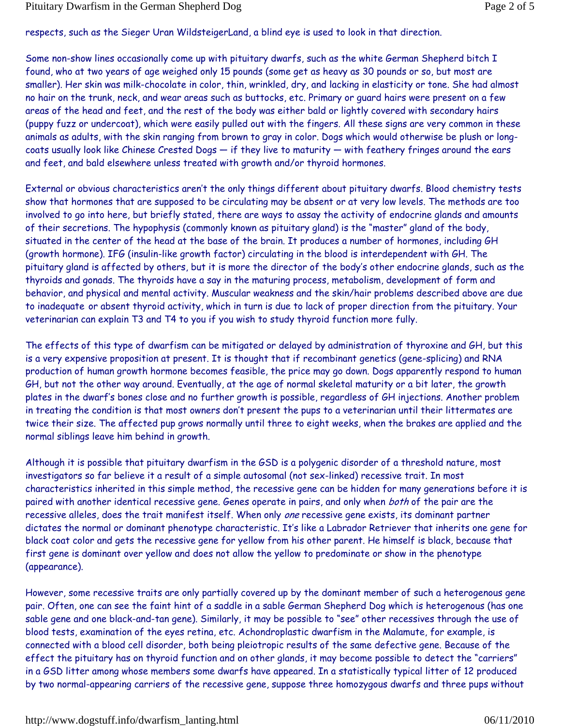respects, such as the Sieger Uran WildsteigerLand, a blind eye is used to look in that direction.

Some non-show lines occasionally come up with pituitary dwarfs, such as the white German Shepherd bitch I found, who at two years of age weighed only 15 pounds (some get as heavy as 30 pounds or so, but most are smaller). Her skin was milk-chocolate in color, thin, wrinkled, dry, and lacking in elasticity or tone. She had almost no hair on the trunk, neck, and wear areas such as buttocks, etc. Primary or guard hairs were present on a few areas of the head and feet, and the rest of the body was either bald or lightly covered with secondary hairs (puppy fuzz or undercoat), which were easily pulled out with the fingers. All these signs are very common in these animals as adults, with the skin ranging from brown to gray in color. Dogs which would otherwise be plush or longcoats usually look like Chinese Crested Dogs — if they live to maturity — with feathery fringes around the ears and feet, and bald elsewhere unless treated with growth and/or thyroid hormones.

External or obvious characteristics aren't the only things different about pituitary dwarfs. Blood chemistry tests show that hormones that are supposed to be circulating may be absent or at very low levels. The methods are too involved to go into here, but briefly stated, there are ways to assay the activity of endocrine glands and amounts of their secretions. The hypophysis (commonly known as pituitary gland) is the "master" gland of the body, situated in the center of the head at the base of the brain. It produces a number of hormones, including GH (growth hormone). IFG (insulin-like growth factor) circulating in the blood is interdependent with GH. The pituitary gland is affected by others, but it is more the director of the body's other endocrine glands, such as the thyroids and gonads. The thyroids have a say in the maturing process, metabolism, development of form and behavior, and physical and mental activity. Muscular weakness and the skin/hair problems described above are due to inadequate or absent thyroid activity, which in turn is due to lack of proper direction from the pituitary. Your veterinarian can explain T3 and T4 to you if you wish to study thyroid function more fully.

The effects of this type of dwarfism can be mitigated or delayed by administration of thyroxine and GH, but this is a very expensive proposition at present. It is thought that if recombinant genetics (gene-splicing) and RNA production of human growth hormone becomes feasible, the price may go down. Dogs apparently respond to human GH, but not the other way around. Eventually, at the age of normal skeletal maturity or a bit later, the growth plates in the dwarf's bones close and no further growth is possible, regardless of GH injections. Another problem in treating the condition is that most owners don't present the pups to a veterinarian until their littermates are twice their size. The affected pup grows normally until three to eight weeks, when the brakes are applied and the normal siblings leave him behind in growth.

Although it is possible that pituitary dwarfism in the GSD is a polygenic disorder of a threshold nature, most investigators so far believe it a result of a simple autosomal (not sex-linked) recessive trait. In most characteristics inherited in this simple method, the recessive gene can be hidden for many generations before it is paired with another identical recessive gene. Genes operate in pairs, and only when both of the pair are the recessive alleles, does the trait manifest itself. When only one recessive gene exists, its dominant partner dictates the normal or dominant phenotype characteristic. It's like a Labrador Retriever that inherits one gene for black coat color and gets the recessive gene for yellow from his other parent. He himself is black, because that first gene is dominant over yellow and does not allow the yellow to predominate or show in the phenotype (appearance).

However, some recessive traits are only partially covered up by the dominant member of such a heterogenous gene pair. Often, one can see the faint hint of a saddle in a sable German Shepherd Dog which is heterogenous (has one sable gene and one black-and-tan gene). Similarly, it may be possible to "see" other recessives through the use of blood tests, examination of the eyes retina, etc. Achondroplastic dwarfism in the Malamute, for example, is connected with a blood cell disorder, both being pleiotropic results of the same defective gene. Because of the effect the pituitary has on thyroid function and on other glands, it may become possible to detect the "carriers" in a GSD litter among whose members some dwarfs have appeared. In a statistically typical litter of 12 produced by two normal-appearing carriers of the recessive gene, suppose three homozygous dwarfs and three pups without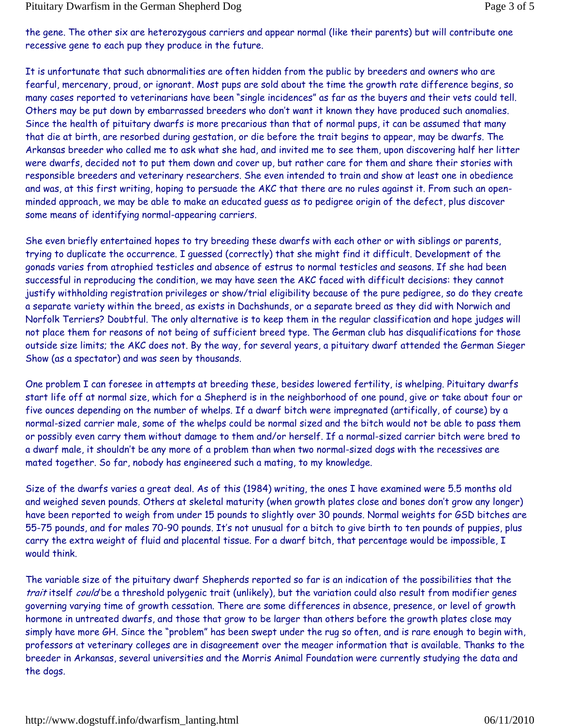the gene. The other six are heterozygous carriers and appear normal (like their parents) but will contribute one recessive gene to each pup they produce in the future.

It is unfortunate that such abnormalities are often hidden from the public by breeders and owners who are fearful, mercenary, proud, or ignorant. Most pups are sold about the time the growth rate difference begins, so many cases reported to veterinarians have been "single incidences" as far as the buyers and their vets could tell. Others may be put down by embarrassed breeders who don't want it known they have produced such anomalies. Since the health of pituitary dwarfs is more precarious than that of normal pups, it can be assumed that many that die at birth, are resorbed during gestation, or die before the trait begins to appear, may be dwarfs. The Arkansas breeder who called me to ask what she had, and invited me to see them, upon discovering half her litter were dwarfs, decided not to put them down and cover up, but rather care for them and share their stories with responsible breeders and veterinary researchers. She even intended to train and show at least one in obedience and was, at this first writing, hoping to persuade the AKC that there are no rules against it. From such an openminded approach, we may be able to make an educated guess as to pedigree origin of the defect, plus discover some means of identifying normal-appearing carriers.

She even briefly entertained hopes to try breeding these dwarfs with each other or with siblings or parents, trying to duplicate the occurrence. I guessed (correctly) that she might find it difficult. Development of the gonads varies from atrophied testicles and absence of estrus to normal testicles and seasons. If she had been successful in reproducing the condition, we may have seen the AKC faced with difficult decisions: they cannot justify withholding registration privileges or show/trial eligibility because of the pure pedigree, so do they create a separate variety within the breed, as exists in Dachshunds, or a separate breed as they did with Norwich and Norfolk Terriers? Doubtful. The only alternative is to keep them in the regular classification and hope judges will not place them for reasons of not being of sufficient breed type. The German club has disqualifications for those outside size limits; the AKC does not. By the way, for several years, a pituitary dwarf attended the German Sieger Show (as a spectator) and was seen by thousands.

One problem I can foresee in attempts at breeding these, besides lowered fertility, is whelping. Pituitary dwarfs start life off at normal size, which for a Shepherd is in the neighborhood of one pound, give or take about four or five ounces depending on the number of whelps. If a dwarf bitch were impregnated (artifically, of course) by a normal-sized carrier male, some of the whelps could be normal sized and the bitch would not be able to pass them or possibly even carry them without damage to them and/or herself. If a normal-sized carrier bitch were bred to a dwarf male, it shouldn't be any more of a problem than when two normal-sized dogs with the recessives are mated together. So far, nobody has engineered such a mating, to my knowledge.

Size of the dwarfs varies a great deal. As of this (1984) writing, the ones I have examined were 5.5 months old and weighed seven pounds. Others at skeletal maturity (when growth plates close and bones don't grow any longer) have been reported to weigh from under 15 pounds to slightly over 30 pounds. Normal weights for GSD bitches are 55-75 pounds, and for males 70-90 pounds. It's not unusual for a bitch to give birth to ten pounds of puppies, plus carry the extra weight of fluid and placental tissue. For a dwarf bitch, that percentage would be impossible, I would think.

The variable size of the pituitary dwarf Shepherds reported so far is an indication of the possibilities that the trait itself could be a threshold polygenic trait (unlikely), but the variation could also result from modifier genes governing varying time of growth cessation. There are some differences in absence, presence, or level of growth hormone in untreated dwarfs, and those that grow to be larger than others before the growth plates close may simply have more GH. Since the "problem" has been swept under the rug so often, and is rare enough to begin with, professors at veterinary colleges are in disagreement over the meager information that is available. Thanks to the breeder in Arkansas, several universities and the Morris Animal Foundation were currently studying the data and the dogs.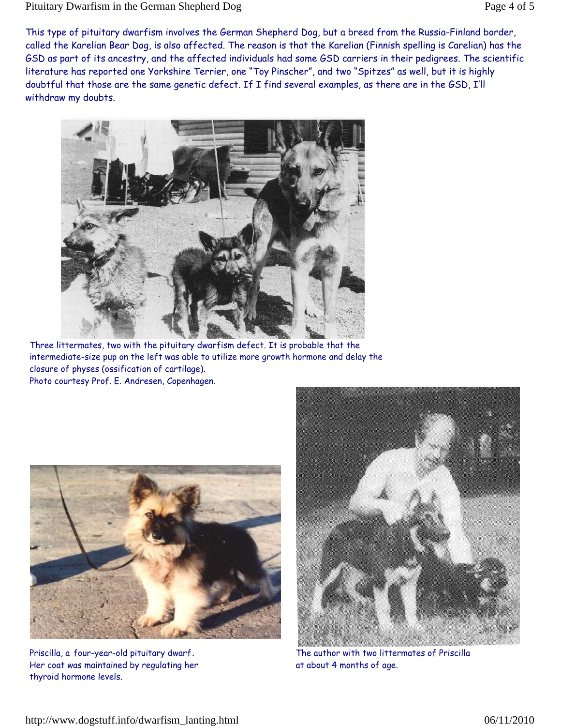This type of pituitary dwarfism involves the German Shepherd Dog, but a breed from the Russia-Finland border, called the Karelian Bear Dog, is also affected. The reason is that the Karelian (Finnish spelling is Carelian) has the GSD as part of its ancestry, and the affected individuals had some GSD carriers in their pedigrees. The scientific literature has reported one Yorkshire Terrier, one "Toy Pinscher", and two "Spitzes" as well, but it is highly doubtful that those are the same genetic defect. If I find several examples, as there are in the GSD, I'll withdraw my doubts.



Three littermates, two with the pituitary dwarfism defect. It is probable that the intermediate-size pup on the left was able to utilize more growth hormone and delay the closure of physes (ossification of cartilage). Photo courtesy Prof. E. Andresen, Copenhagen.



Priscilla, a four-year-old pituitary dwarf**.** Her coat was maintained by regulating her thyroid hormone levels.



The author with two littermates of Priscilla at about 4 months of age.